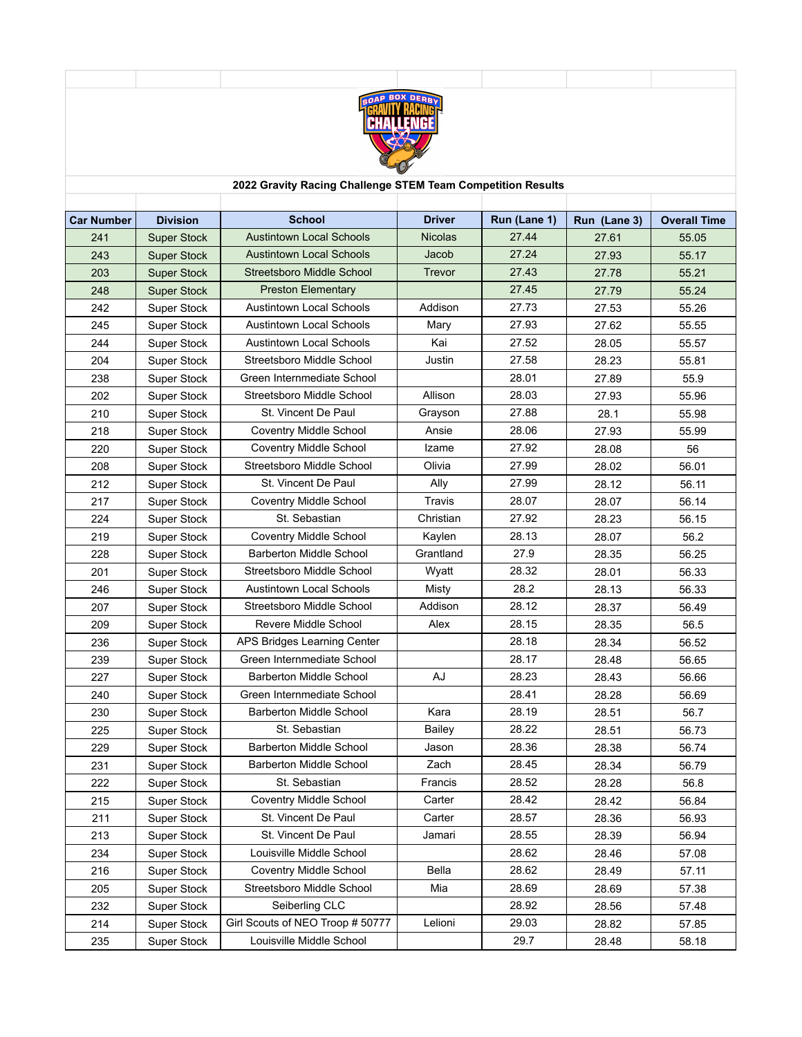

## **2022 Gravity Racing Challenge STEM Team Competition Results**

| <b>Car Number</b> | <b>Division</b>    | <b>School</b>                    | <b>Driver</b>  | Run (Lane 1) | Run (Lane 3) | <b>Overall Time</b> |
|-------------------|--------------------|----------------------------------|----------------|--------------|--------------|---------------------|
| 241               | <b>Super Stock</b> | <b>Austintown Local Schools</b>  | <b>Nicolas</b> | 27.44        | 27.61        | 55.05               |
| 243               | <b>Super Stock</b> | <b>Austintown Local Schools</b>  | Jacob          | 27.24        | 27.93        | 55.17               |
| 203               | <b>Super Stock</b> | Streetsboro Middle School        | Trevor         | 27.43        | 27.78        | 55.21               |
| 248               | <b>Super Stock</b> | <b>Preston Elementary</b>        |                | 27.45        | 27.79        | 55.24               |
| 242               | <b>Super Stock</b> | <b>Austintown Local Schools</b>  | Addison        | 27.73        | 27.53        | 55.26               |
| 245               | <b>Super Stock</b> | <b>Austintown Local Schools</b>  | Mary           | 27.93        | 27.62        | 55.55               |
| 244               | <b>Super Stock</b> | <b>Austintown Local Schools</b>  | Kai            | 27.52        | 28.05        | 55.57               |
| 204               | <b>Super Stock</b> | Streetsboro Middle School        | Justin         | 27.58        | 28.23        | 55.81               |
| 238               | <b>Super Stock</b> | Green Internmediate School       |                | 28.01        | 27.89        | 55.9                |
| 202               | <b>Super Stock</b> | Streetsboro Middle School        | Allison        | 28.03        | 27.93        | 55.96               |
| 210               | <b>Super Stock</b> | St. Vincent De Paul              | Grayson        | 27.88        | 28.1         | 55.98               |
| 218               | <b>Super Stock</b> | <b>Coventry Middle School</b>    | Ansie          | 28.06        | 27.93        | 55.99               |
| 220               | <b>Super Stock</b> | <b>Coventry Middle School</b>    | Izame          | 27.92        | 28.08        | 56                  |
| 208               | <b>Super Stock</b> | Streetsboro Middle School        | Olivia         | 27.99        | 28.02        | 56.01               |
| 212               | <b>Super Stock</b> | St. Vincent De Paul              | Ally           | 27.99        | 28.12        | 56.11               |
| 217               | <b>Super Stock</b> | <b>Coventry Middle School</b>    | Travis         | 28.07        | 28.07        | 56.14               |
| 224               | <b>Super Stock</b> | St. Sebastian                    | Christian      | 27.92        | 28.23        | 56.15               |
| 219               | <b>Super Stock</b> | Coventry Middle School           | Kaylen         | 28.13        | 28.07        | 56.2                |
| 228               | <b>Super Stock</b> | <b>Barberton Middle School</b>   | Grantland      | 27.9         | 28.35        | 56.25               |
| 201               | <b>Super Stock</b> | Streetsboro Middle School        | Wyatt          | 28.32        | 28.01        | 56.33               |
| 246               | <b>Super Stock</b> | <b>Austintown Local Schools</b>  | Misty          | 28.2         | 28.13        | 56.33               |
| 207               | <b>Super Stock</b> | Streetsboro Middle School        | Addison        | 28.12        | 28.37        | 56.49               |
| 209               | <b>Super Stock</b> | Revere Middle School             | Alex           | 28.15        | 28.35        | 56.5                |
| 236               | <b>Super Stock</b> | APS Bridges Learning Center      |                | 28.18        | 28.34        | 56.52               |
| 239               | <b>Super Stock</b> | Green Internmediate School       |                | 28.17        | 28.48        | 56.65               |
| 227               | <b>Super Stock</b> | <b>Barberton Middle School</b>   | AJ             | 28.23        | 28.43        | 56.66               |
| 240               | <b>Super Stock</b> | Green Internmediate School       |                | 28.41        | 28.28        | 56.69               |
| 230               | <b>Super Stock</b> | <b>Barberton Middle School</b>   | Kara           | 28.19        | 28.51        | 56.7                |
| 225               | <b>Super Stock</b> | St. Sebastian                    | Bailey         | 28.22        | 28.51        | 56.73               |
| 229               | <b>Super Stock</b> | <b>Barberton Middle School</b>   | Jason          | 28.36        | 28.38        | 56.74               |
| 231               | <b>Super Stock</b> | <b>Barberton Middle School</b>   | Zach           | 28.45        | 28.34        | 56.79               |
| 222               | <b>Super Stock</b> | St. Sebastian                    | Francis        | 28.52        | 28.28        | 56.8                |
| 215               | <b>Super Stock</b> | Coventry Middle School           | Carter         | 28.42        | 28.42        | 56.84               |
| 211               | Super Stock        | St. Vincent De Paul              | Carter         | 28.57        | 28.36        | 56.93               |
| 213               | Super Stock        | St. Vincent De Paul              | Jamari         | 28.55        | 28.39        | 56.94               |
| 234               | <b>Super Stock</b> | Louisville Middle School         |                | 28.62        | 28.46        | 57.08               |
| 216               | <b>Super Stock</b> | <b>Coventry Middle School</b>    | Bella          | 28.62        | 28.49        | 57.11               |
| 205               | <b>Super Stock</b> | Streetsboro Middle School        | Mia            | 28.69        | 28.69        | 57.38               |
| 232               | Super Stock        | Seiberling CLC                   |                | 28.92        | 28.56        | 57.48               |
| 214               | <b>Super Stock</b> | Girl Scouts of NEO Troop # 50777 | Lelioni        | 29.03        | 28.82        | 57.85               |
| 235               | <b>Super Stock</b> | Louisville Middle School         |                | 29.7         | 28.48        | 58.18               |